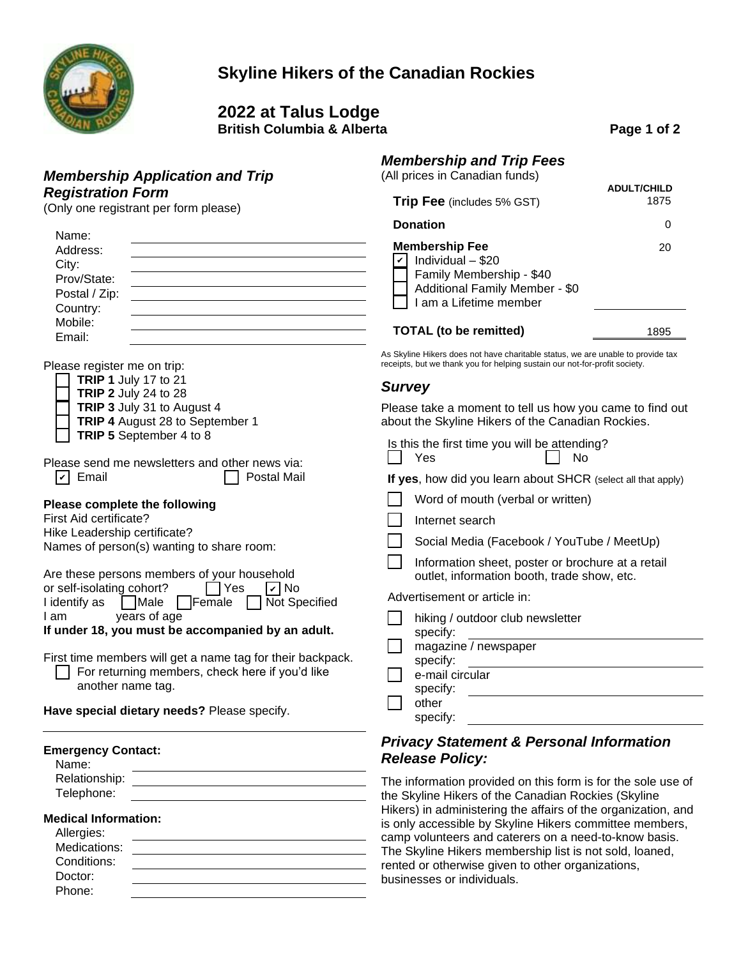

## **Skyline Hikers of the Canadian Rockies**

**2022 at Talus Lodge**

**British Columbia & Alberta Page 1 of 2** 

#### *Membership and Trip Fees* (All prices in Canadian funds)

| All prices in Canadian funds)                                                                                                      | <b>ADULT/CHILD</b> |
|------------------------------------------------------------------------------------------------------------------------------------|--------------------|
| <b>Trip Fee</b> (includes 5% GST)                                                                                                  | 1875               |
| <b>Donation</b>                                                                                                                    |                    |
| <b>Membership Fee</b><br>Individual - \$20<br>Family Membership - \$40<br>Additional Family Member - \$0<br>I am a Lifetime member | 20                 |
| <b>TOTAL</b> (to be remitted)                                                                                                      | 1895               |

As Skyline Hikers does not have charitable status, we are unable to provide tax receipts, but we thank you for helping sustain our not-for-profit society.

### *Survey*

Please take a moment to tell us how you came to find out about the Skyline Hikers of the Canadian Rockies.

| Is this the first time you will be attending? |                  |
|-----------------------------------------------|------------------|
| Yes                                           | $\vert \vert$ No |

**If yes**, how did you learn about SHCR (select all that apply)

| Word of mouth (verbal or written) |  |
|-----------------------------------|--|
|-----------------------------------|--|

| Internet search |  |
|-----------------|--|
|-----------------|--|

Information sheet, poster or brochure at a retail outlet, information booth, trade show, etc.

Advertisement or article in:

| hiking / outdoor club newsletter<br>specify: |
|----------------------------------------------|
| magazine / newspaper                         |
| specify:                                     |
| e-mail circular                              |
| specify:                                     |
| other                                        |
| specify:                                     |

### *Privacy Statement & Personal Information Release Policy:*

The information provided on this form is for the sole use of the Skyline Hikers of the Canadian Rockies (Skyline Hikers) in administering the affairs of the organization, and is only accessible by Skyline Hikers committee members, camp volunteers and caterers on a need-to-know basis. The Skyline Hikers membership list is not sold, loaned, rented or otherwise given to other organizations, businesses or individuals.

Email:

*Registration Form*

Name: Address: City: Prov/State: Postal / Zip: Country: Mobile:

Please register me on trip:

|  | <b>TRIP 1</b> July 17 to 21 |  |  |  |
|--|-----------------------------|--|--|--|
|  |                             |  |  |  |

- **TRIP 2** July 24 to 28
- **TRIP 3** July 31 to August 4

*Membership Application and Trip*

(Only one registrant per form please)

**TRIP 4** August 28 to September 1

| $\Box$ TRIP 5 September 4 to 8 |  |
|--------------------------------|--|
|--------------------------------|--|

Please send me newsletters and other news via: Demail **Postal Mail** 

### **Please complete the following**

First Aid certificate?

Hike Leadership certificate?

Names of person(s) wanting to share room:

Are these persons members of your household

or self-isolating cohort? Thes Theory I identify as  $\Box$  Male  $\Box$  Female  $\Box$  Not Specified

I am years of age

**If under 18, you must be accompanied by an adult.**

First time members will get a name tag for their backpack. For returning members, check here if you'd like another name tag.

**Have special dietary needs?** Please specify.

| <b>Emergency Contact:</b> |  |
|---------------------------|--|
|---------------------------|--|

| Name |  |
|------|--|
|------|--|

Relationship:

#### Telephone:

### **Medical Information:**

| Allergies:   |  |
|--------------|--|
| Medications: |  |
| Conditions:  |  |
| Doctor:      |  |
| Phone:       |  |